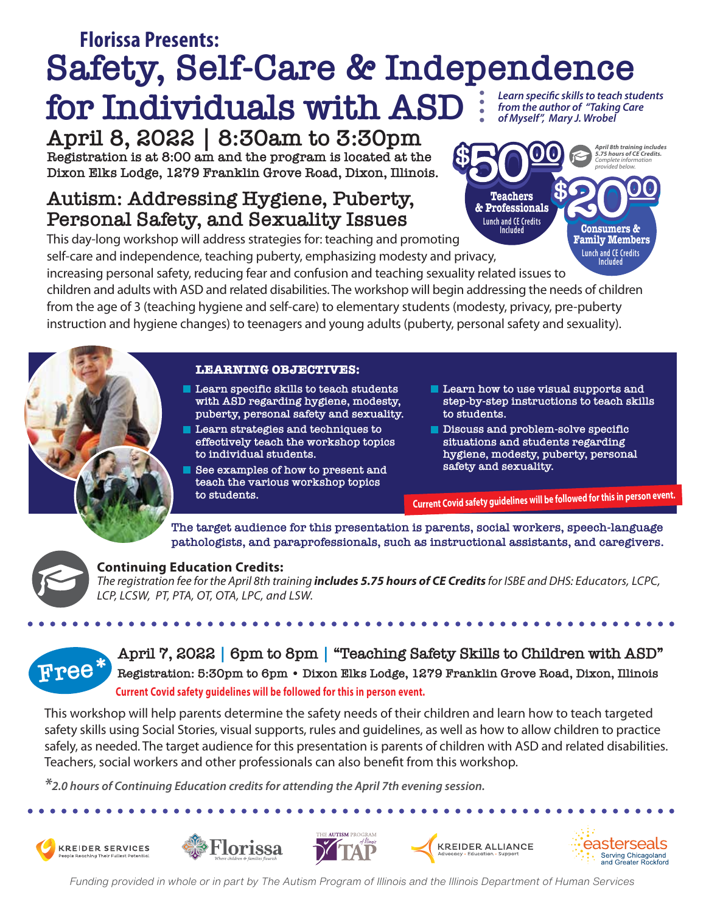#### **Safety, Self-Care & Independence for Individuals with ASD**  *Learn specific skills to teach students from the author of "Taking Care of Myself", Mary J. Wrobel* **Florissa Presents:**

**April 8, 2022 | 8:30am to 3:30pm Registration is at 8:00 am and the program is located at the Dixon Elks Lodge, 1279 Franklin Grove Road, Dixon, Illinois.**

# **Autism: Addressing Hygiene, Puberty, Personal Safety, and Sexuality Issues**

This day-long workshop will address strategies for: teaching and promoting self-care and independence, teaching puberty, emphasizing modesty and privacy,

increasing personal safety, reducing fear and confusion and teaching sexuality related issues to

children and adults with ASD and related disabilities. The workshop will begin addressing the needs of children from the age of 3 (teaching hygiene and self-care) to elementary students (modesty, privacy, pre-puberty instruction and hygiene changes) to teenagers and young adults (puberty, personal safety and sexuality).

#### **LEARNING OBJECTIVES:**

- **Learn specific skills to teach students with ASD regarding hygiene, modesty, puberty, personal safety and sexuality.**
- **Learn strategies and techniques to effectively teach the workshop topics to individual students.**
- **See examples of how to present and teach the various workshop topics to students.**
- **Learn how to use visual supports and step-by-step instructions to teach skills to students.**

**Lunch and CE Credits Included**

**Consumers & Family Members**

*April 8th training includes 5.75 hours of CE Credits. Complete information provided below.*

**Teachers & Professionals Lunch and CE Credits Included**

**Discuss and problem-solve specific situations and students regarding hygiene, modesty, puberty, personal safety and sexuality.** 

**Current Covid safety guidelines will be followed for this in person event.**

**The target audience for this presentation is parents, social workers, speech-language pathologists, and paraprofessionals, such as instructional assistants, and caregivers.** 

**Continuing Education Credits:** *The registration fee for the April 8th training includes 5.75 hours of CE Credits for ISBE and DHS: Educators, LCPC, LCP, LCSW, PT, PTA, OT, OTA, LPC, and LSW.*

**Free** \* **April 7, 2022 |** 6pm to 8pm | "Teaching Safety Skills to Children with ASD"<br>**Free** \* **Registration: 5:30pm to 6pm** · Dixon Elks Lodge, 1279 Franklin Grove Road, Dixon, Illinois **Registration: 5:30pm to 6pm • Dixon Elks Lodge, 1279 Franklin Grove Road, Dixon, Illinois Current Covid safety guidelines will be followed for this in person event.**

This workshop will help parents determine the safety needs of their children and learn how to teach targeted safety skills using Social Stories, visual supports, rules and guidelines, as well as how to allow children to practice safely, as needed. The target audience for this presentation is parents of children with ASD and related disabilities. Teachers, social workers and other professionals can also benefit from this workshop.

*\*2.0 hours of Continuing Education credits for attending the April 7th evening session.*











*Funding provided in whole or in part by The Autism Program of Illinois and the Illinois Department of Human Services*